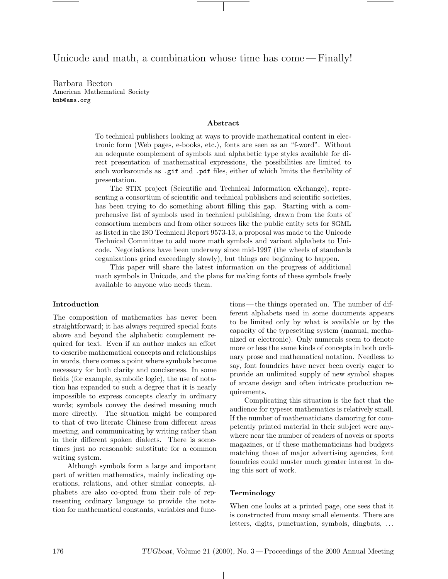Unicode and math, a combination whose time has come —Finally!

Barbara Beeton American Mathematical Society bnb@ams.org

#### Abstract

To technical publishers looking at ways to provide mathematical content in electronic form (Web pages, e-books, etc.), fonts are seen as an "f-word". Without an adequate complement of symbols and alphabetic type styles available for direct presentation of mathematical expressions, the possibilities are limited to such workarounds as .gif and .pdf files, either of which limits the flexibility of presentation.

The STIX project (Scientific and Technical Information eXchange), representing a consortium of scientific and technical publishers and scientific societies, has been trying to do something about filling this gap. Starting with a comprehensive list of symbols used in technical publishing, drawn from the fonts of consortium members and from other sources like the public entity sets for SGML as listed in the ISO Technical Report 9573-13, a proposal was made to the Unicode Technical Committee to add more math symbols and variant alphabets to Unicode. Negotiations have been underway since mid-1997 (the wheels of standards organizations grind exceedingly slowly), but things are beginning to happen.

This paper will share the latest information on the progress of additional math symbols in Unicode, and the plans for making fonts of these symbols freely available to anyone who needs them.

#### Introduction

The composition of mathematics has never been straightforward; it has always required special fonts above and beyond the alphabetic complement required for text. Even if an author makes an effort to describe mathematical concepts and relationships in words, there comes a point where symbols become necessary for both clarity and conciseness. In some fields (for example, symbolic logic), the use of notation has expanded to such a degree that it is nearly impossible to express concepts clearly in ordinary words; symbols convey the desired meaning much more directly. The situation might be compared to that of two literate Chinese from different areas meeting, and communicating by writing rather than in their different spoken dialects. There is sometimes just no reasonable substitute for a common writing system.

Although symbols form a large and important part of written mathematics, mainly indicating operations, relations, and other similar concepts, alphabets are also co-opted from their role of representing ordinary language to provide the notation for mathematical constants, variables and functions— the things operated on. The number of different alphabets used in some documents appears to be limited only by what is available or by the capacity of the typesetting system (manual, mechanized or electronic). Only numerals seem to denote more or less the same kinds of concepts in both ordinary prose and mathematical notation. Needless to say, font foundries have never been overly eager to provide an unlimited supply of new symbol shapes of arcane design and often intricate production requirements.

Complicating this situation is the fact that the audience for typeset mathematics is relatively small. If the number of mathematicians clamoring for competently printed material in their subject were anywhere near the number of readers of novels or sports magazines, or if these mathematicians had budgets matching those of major advertising agencies, font foundries could muster much greater interest in doing this sort of work.

# Terminology

 $\perp$ 

When one looks at a printed page, one sees that it is constructed from many small elements. There are letters, digits, punctuation, symbols, dingbats, ...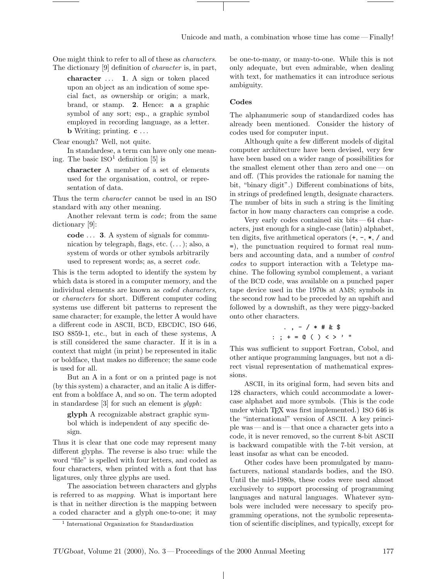One might think to refer to all of these as characters. The dictionary [9] definition of character is, in part,

character  $\dots$  1. A sign or token placed upon an object as an indication of some special fact, as ownership or origin; a mark, brand, or stamp. 2. Hence: a a graphic symbol of any sort; esp., a graphic symbol employed in recording language, as a letter. **b** Writing; printing.  $c \ldots$ 

Clear enough? Well, not quite.

In standardese, a term can have only one meaning. The basic  $ISO<sup>1</sup>$  definition [5] is

character A member of a set of elements used for the organisation, control, or representation of data.

Thus the term character cannot be used in an ISO standard with any other meaning.

Another relevant term is code; from the same dictionary [9]:

code . . . 3. A system of signals for communication by telegraph, flags, etc.  $(\ldots)$ ; also, a system of words or other symbols arbitrarily used to represent words; as, a secret code.

This is the term adopted to identify the system by which data is stored in a computer memory, and the individual elements are known as coded characters, or characters for short. Different computer coding systems use different bit patterns to represent the same character; for example, the letter A would have a different code in ASCII, BCD, EBCDIC, ISO 646, ISO 8859-1, etc., but in each of these systems, A is still considered the same character. If it is in a context that might (in print) be represented in italic or boldface, that makes no difference; the same code is used for all.

But an A in a font or on a printed page is not (by this system) a character, and an italic A is different from a boldface A, and so on. The term adopted in standardese [3] for such an element is  $qlyph$ :

glyph A recognizable abstract graphic symbol which is independent of any specific design.

Thus it is clear that one code may represent many different glyphs. The reverse is also true: while the word "file" is spelled with four letters, and coded as four characters, when printed with a font that has ligatures, only three glyphs are used.

The association between characters and glyphs is referred to as mapping. What is important here is that in neither direction is the mapping between a coded character and a glyph one-to-one; it may be one-to-many, or many-to-one. While this is not only adequate, but even admirable, when dealing with text, for mathematics it can introduce serious ambiguity.

#### Codes

The alphanumeric soup of standardized codes has already been mentioned. Consider the history of codes used for computer input.

Although quite a few different models of digital computer architecture have been devised, very few have been based on a wider range of possibilities for the smallest element other than zero and one— on and off. (This provides the rationale for naming the bit, "binary digit".) Different combinations of bits, in strings of predefined length, designate characters. The number of bits in such a string is the limiting factor in how many characters can comprise a code.

Very early codes contained six bits— 64 characters, just enough for a single-case (latin) alphabet, ten digits, five arithmetical operators  $(+, -, *, /$  and =), the punctuation required to format real numbers and accounting data, and a number of control codes to support interaction with a Teletype machine. The following symbol complement, a variant of the BCD code, was available on a punched paper tape device used in the 1970s at AMS; symbols in the second row had to be preceded by an upshift and followed by a downshift, as they were piggy-backed onto other characters.

$$
\therefore , - / * # & \$
$$
\n
$$
\therefore ; + = \circledcirc ( ) < > ?
$$

This was sufficient to support Fortran, Cobol, and other antique programming languages, but not a direct visual representation of mathematical expressions.

ASCII, in its original form, had seven bits and 128 characters, which could accommodate a lowercase alphabet and more symbols. (This is the code under which TEX was first implemented.) ISO 646 is the "international" version of ASCII. A key principle was— and is— that once a character gets into a code, it is never removed, so the current 8-bit ASCII is backward compatible with the 7-bit version, at least insofar as what can be encoded.

Other codes have been promulgated by manufacturers, national standards bodies, and the ISO. Until the mid-1980s, these codes were used almost exclusively to support processing of programming languages and natural languages. Whatever symbols were included were necessary to specify programming operations, not the symbolic representation of scientific disciplines, and typically, except for

 $\mathbf{L}$ 

<sup>1</sup> International Organization for Standardization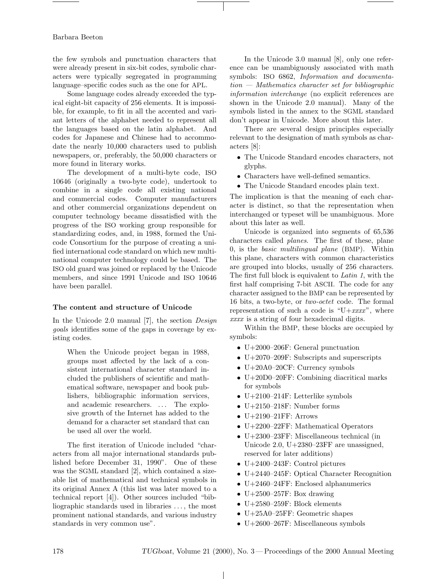the few symbols and punctuation characters that were already present in six-bit codes, symbolic characters were typically segregated in programming language–specific codes such as the one for APL.

Some language codes already exceeded the typical eight-bit capacity of 256 elements. It is impossible, for example, to fit in all the accented and variant letters of the alphabet needed to represent all the languages based on the latin alphabet. And codes for Japanese and Chinese had to accommodate the nearly 10,000 characters used to publish newspapers, or, preferably, the 50,000 characters or more found in literary works.

The development of a multi-byte code, ISO 10646 (originally a two-byte code), undertook to combine in a single code all existing national and commercial codes. Computer manufacturers and other commercial organizations dependent on computer technology became dissatisfied with the progress of the ISO working group responsible for standardizing codes, and, in 1988, formed the Unicode Consortium for the purpose of creating a unified international code standard on which new multinational computer technology could be based. The ISO old guard was joined or replaced by the Unicode members, and since 1991 Unicode and ISO 10646 have been parallel.

#### The content and structure of Unicode

In the Unicode 2.0 manual [7], the section Design goals identifies some of the gaps in coverage by existing codes.

When the Unicode project began in 1988, groups most affected by the lack of a consistent international character standard included the publishers of scientific and mathematical software, newspaper and book publishers, bibliographic information services, and academic researchers. ... The explosive growth of the Internet has added to the demand for a character set standard that can be used all over the world.

The first iteration of Unicode included "characters from all major international standards published before December 31, 1990". One of these was the SGML standard [2], which contained a sizeable list of mathematical and technical symbols in its original Annex A (this list was later moved to a technical report [4]). Other sources included "bibliographic standards used in libraries . . . , the most prominent national standards, and various industry standards in very common use".

In the Unicode 3.0 manual [8], only one reference can be unambiguously associated with math symbols: ISO 6862, Information and documenta $tion - Mathematics character set for bibliographic$ information interchange (no explicit references are shown in the Unicode 2.0 manual). Many of the symbols listed in the annex to the SGML standard don't appear in Unicode. More about this later.

There are several design principles especially relevant to the designation of math symbols as characters [8]:

- The Unicode Standard encodes characters, not glyphs.
- Characters have well-defined semantics.
- The Unicode Standard encodes plain text.

The implication is that the meaning of each character is distinct, so that the representation when interchanged or typeset will be unambiguous. More about this later as well.

Unicode is organized into segments of 65,536 characters called planes. The first of these, plane  $0$ , is the *basic multilingual plane* (BMP). Within this plane, characters with common characteristics are grouped into blocks, usually of 256 characters. The first full block is equivalent to Latin 1, with the first half comprising 7-bit ASCII. The code for any character assigned to the BMP can be represented by 16 bits, a two-byte, or two-octet code. The formal representation of such a code is " $U+xxxx$ ", where xxx is a string of four hexadecimal digits.

Within the BMP, these blocks are occupied by symbols:

- U+2000–206F: General punctuation
- U+2070–209F: Subscripts and superscripts
- U+20A0–20CF: Currency symbols
- U+20D0–20FF: Combining diacritical marks for symbols
- U+2100–214F: Letterlike symbols
- U+2150–218F: Number forms
- $\bullet$  U+2190-21FF: Arrows
- U+2200–22FF: Mathematical Operators
- U+2300–23FF: Miscellaneous technical (in Unicode 2.0, U+2380–23FF are unassigned, reserved for later additions)
- U+2400–243F: Control pictures
- U+2440–245F: Optical Character Recognition
- U+2460–24FF: Enclosed alphanumerics
- U $+2500-257$ F: Box drawing
- U+2580–259F: Block elements
- U+25A0–25FF: Geometric shapes
- U $+2600-267$ F: Miscellaneous symbols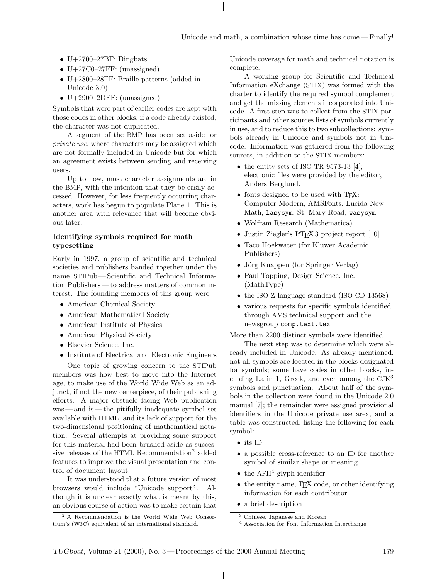- U+2700-27BF: Dingbats
- U+27C0–27FF: (unassigned)
- U+2800–28FF: Braille patterns (added in Unicode 3.0)
- U+2900–2DFF: (unassigned)

Symbols that were part of earlier codes are kept with those codes in other blocks; if a code already existed, the character was not duplicated.

A segment of the BMP has been set aside for private use, where characters may be assigned which are not formally included in Unicode but for which an agreement exists between sending and receiving users.

Up to now, most character assignments are in the BMP, with the intention that they be easily accessed. However, for less frequently occurring characters, work has begun to populate Plane 1. This is another area with relevance that will become obvious later.

# Identifying symbols required for math typesetting

Early in 1997, a group of scientific and technical societies and publishers banded together under the name STIPub— Scientific and Technical Information Publishers— to address matters of common interest. The founding members of this group were

- American Chemical Society
- American Mathematical Society
- American Institute of Physics
- American Physical Society
- Elsevier Science, Inc.
- Institute of Electrical and Electronic Engineers

One topic of growing concern to the STIPub members was how best to move into the Internet age, to make use of the World Wide Web as an adjunct, if not the new centerpiece, of their publishing efforts. A major obstacle facing Web publication was— and is— the pitifully inadequate symbol set available with HTML, and its lack of support for the two-dimensional positioning of mathematical notation. Several attempts at providing some support for this material had been brushed aside as successive releases of the HTML Recommendation<sup>2</sup> added features to improve the visual presentation and control of document layout.

It was understood that a future version of most browsers would include "Unicode support". Although it is unclear exactly what is meant by this, an obvious course of action was to make certain that Unicode coverage for math and technical notation is complete.

A working group for Scientific and Technical Information eXchange (STIX) was formed with the charter to identify the required symbol complement and get the missing elements incorporated into Unicode. A first step was to collect from the STIX participants and other sources lists of symbols currently in use, and to reduce this to two subcollections: symbols already in Unicode and symbols not in Unicode. Information was gathered from the following sources, in addition to the STIX members:

- the entity sets of ISO TR 9573-13 [4]; electronic files were provided by the editor, Anders Berglund.
- fonts designed to be used with T<sub>F</sub>X: Computer Modern, AMSFonts, Lucida New Math, lasysym, St. Mary Road, wasysym
- Wolfram Research (Mathematica)
- Justin Ziegler's LAT<sub>F</sub>X 3 project report [10]
- Taco Hoekwater (for Kluwer Academic Publishers)
- Jörg Knappen (for Springer Verlag)
- Paul Topping, Design Science, Inc. (MathType)
- the ISO Z language standard (ISO CD 13568)
- various requests for specific symbols identified through AMS technical support and the newsgroup comp.text.tex

More than 2200 distinct symbols were identified.

The next step was to determine which were already included in Unicode. As already mentioned, not all symbols are located in the blocks designated for symbols; some have codes in other blocks, including Latin 1, Greek, and even among the  $\text{CJK}^3$ symbols and punctuation. About half of the symbols in the collection were found in the Unicode 2.0 manual [7]; the remainder were assigned provisional identifiers in the Unicode private use area, and a table was constructed, listing the following for each symbol:

- its ID
- a possible cross-reference to an ID for another symbol of similar shape or meaning
- the AFII<sup>4</sup> glyph identifier
- the entity name, TFX code, or other identifying information for each contributor
- a brief description

 $\mathbf{I}$ 

<sup>2</sup> A Recommendation is the World Wide Web Consortium's (W3C) equivalent of an international standard.

<sup>3</sup> Chinese, Japanese and Korean

<sup>4</sup> Association for Font Information Interchange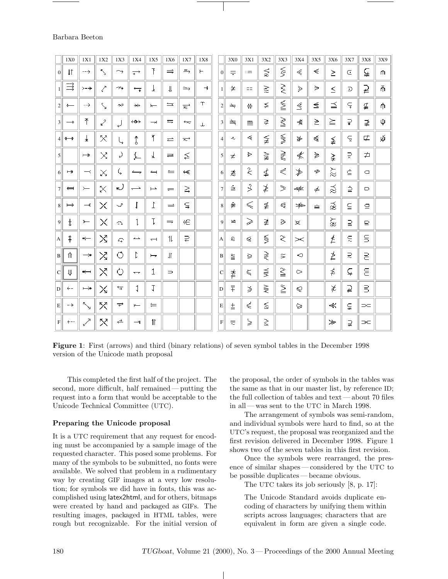|                 | 1X0               | 1X1                      | 1X2                        | 1X3                                                | 1X4                      | 1X5                      | 1X6           | 1X7                  | 1X8           |                  | 3X0             | 3X1                         | 3X2                      | 3X3                         | 3X4                 | 3X5                         | 3X6                         | 3X7               | 3X8                | 3X9 |
|-----------------|-------------------|--------------------------|----------------------------|----------------------------------------------------|--------------------------|--------------------------|---------------|----------------------|---------------|------------------|-----------------|-----------------------------|--------------------------|-----------------------------|---------------------|-----------------------------|-----------------------------|-------------------|--------------------|-----|
| 0               | $\downarrow$ T    | $-- +$                   | К.,                        | وت                                                 | $\overrightarrow{+}$     | T                        | $\Rightarrow$ | $\Rightarrow$        | $\leftarrow$  | $\vert 0 \vert$  | $=$             | $\mathbb{R}$                | $\leqq$                  | $\tilde{z}$                 | Æ                   | $\leq$                      | $\geq$                      | C                 | ⊊                  | m   |
| 1 <sup>1</sup>  | 彐                 | $> - +$                  | Z                          | وتبرس                                              | $\overline{\phantom{0}}$ | Ŀ.                       | Ш             | جد                   | $\rightarrow$ | 1 <sup>1</sup>   | 学               | $=$                         | $\geq$                   | Ş.                          | Þ                   | $\Rightarrow$               | $\leq$                      | D                 | ⊋                  | 孟   |
| 2               | $\leftarrow$      | $\sim$ $-$               | Ν,                         | $\sigma\in\mathbb{R}$                              | $\rightarrow$            | $\overline{ }$           | $=$           | $\overline{\approx}$ | Υ             | $\overline{2}$   | $\doteq$        | $\Rightarrow$               | $\leq$                   | ≦                           | $\leq$              | $\leq$                      | 三                           | $\subsetneq$      | 尘                  | m   |
| $\vert 3 \vert$ | $\rightarrow$     | $\bar{T}$                | $\mathcal{L}^2$            | لړ                                                 | $\leftrightarrow$        | $\rightarrow$            | ᄃ             | $\overline{a}$       | J.            | $\overline{3}$   | ≐               | ≝                           | ≩.                       | $\geqq$                     | 美                   | $\geq$                      | 注                           | $\Rightarrow$     | ₹                  | Φ   |
|                 | $4   \rightarrow$ | 士                        | $\times$                   |                                                    | $\ddagger$               | T                        | $\equiv$      | $\overrightarrow{ }$ |               | $\left 4\right $ | $\sim$          | $\sigma_{\rm B}$            | $\widetilde{\mathbb{R}}$ | $\mathcal{G}(\mathcal{G})$  | $\Rightarrow$       | $\leq$                      | $\leq$                      | $\subsetneq$      | 匞                  | ψí  |
| $\vert$         |                   | $\rightarrow$            | $\geq^{\pi}_{\rm u}$       | $\omega$                                           | $\mathbb{L}$             | Ł.                       | $=$           | ≦                    |               | $\mathfrak{S}$   | $\tau^{\prime}$ | ğÞ                          | $\frac{1}{2}$            | š                           | 4,                  | $\geq$                      | $\frac{1}{4}$               | ₹,                | 고                  |     |
| 6               | $\rightarrow$     | $\overline{\phantom{a}}$ | $\mathbb{X}_2$             | I,                                                 | <u>— ,</u>               | $\overline{\phantom{a}}$ | $=$           | $\leftarrow$         |               | 6                | o               | $\mathbb{R}$                | ≰                        | $\varepsilon^{\varepsilon}$ | $\mathcal{F}% _{0}$ | $\mathcal{L}_{\mathcal{P}}$ | だ                           | $\hat{\equiv}$    | $\Box$             |     |
| 7               | $\leftarrow$      | $\leftarrow$             | $\times$                   | ریه                                                | $\overline{\phantom{m}}$ | $\overline{\phantom{0}}$ | $=$           | ξ                    |               | $\overline{7}$   | Ė               | 3                           | Ž.                       | $\gamma_{\rm{c}}$           | -str.               | $\neq$                      | $\tilde{\approx}$           | $\stackrel{1}{=}$ | D                  |     |
| 8 <sup>l</sup>  | $\mapsto$         | $-\epsilon$              | X                          | $\Box^{\rm T}$                                     | ľ                        | Ţ.                       | $\equiv$      | ς                    |               | 8                | ≢               | $\lesssim$                  | 壬                        | $\epsilon_{\rm r}$          | $-12$               | $\equiv$                    | $\tilde{\vec{\alpha}}$      | Ω                 | $\boldsymbol{\Xi}$ |     |
| 9               | $\mathbf t$       | $\rightarrow$            | X                          | $\subset$ .                                        | 1                        | Ţ.                       | $\Rightarrow$ | Æ                    |               | 9                | $=$             | )<br>P                      | 全                        | 趋                           | 亥                   |                             | ž                           | $\supseteq$       | ₽                  |     |
| A               | Ŧ                 | $\leftarrow$             | $\mathcal{N}_{\mathbf{1}}$ | $\mathcal{L}_{\mathbf{m}}^{\mathbf{m},\mathbf{r}}$ | خسته                     | $\overline{\phantom{0}}$ | 11.           | ₽                    |               | A                | £               | $\mathcal{L}_{\mathcal{C}}$ | $\mathbb{S}^2$           | $\geq$                      | $>$ $<$             |                             | Ź                           | $\subseteq$       | $\mathsf S$        |     |
| B               | Ť                 | →                        | $\boxtimes$                | Ó                                                  | Þ                        | $\overline{\phantom{a}}$ | $\mathbf{I}$  |                      |               | $\bf{B}$         | $\geq$          | ğ.                          | $\gtrless$               | $\leq$                      | O                   |                             | Ź                           | $\supseteq$       | 2                  |     |
| $\vert$ C       | ₩                 | $\leftarrow$             | $\times$                   | Ò                                                  | $\overline{\phantom{a}}$ | $\mathbf 1$              | $\Rightarrow$ |                      |               | $\mathbf{C}$     | 聿               | $\zeta_{\rm c}$             | $\equiv$                 | $\leq$                      | c>                  |                             | ≴                           | ⊊                 | ε                  |     |
| D               | $\leftarrow$      | $\mapsto$                | $\times$                   | 亏                                                  | 1                        | $\mathbf I$              |               |                      |               | D                | $\bar{+}$       | $\mathcal{L}$               | $\in$                    | $\geq$                      | Q                   |                             | $\chi^2$                    | $\overline{P}$    | $\exists$          |     |
| E               | $\rightarrow$     | $\searrow$               | Х                          | $\overrightarrow{r}$                               | ڪر                       | $\leftleftarrows$        |               |                      |               | E                | 圡               | $\mathcal{L}_\mathrm{c}$    | $\leq$                   |                             | Ç                   |                             | $\prec$                     | g                 | $\supset\subset$   |     |
| F <sub>1</sub>  | $+ - -$           | $\mathbf{z}^{\prime}$    | Х                          | ᄎ                                                  | $\rightarrow$            | $\mathbf{1}$             |               |                      |               | $\mathbf{F}$     | $\equiv$        | $\omega$                    | $\geq$                   |                             |                     |                             | $\mathcal{L}_{\mathcal{D}}$ | ⊋                 | $\Rightarrow$      |     |

Figure 1: First (arrows) and third (binary relations) of seven symbol tables in the December 1998 version of the Unicode math proposal

This completed the first half of the project. The second, more difficult, half remained— putting the request into a form that would be acceptable to the Unicode Technical Committee (UTC).

### Preparing the Unicode proposal

It is a UTC requirement that any request for encoding must be accompanied by a sample image of the requested character. This posed some problems. For many of the symbols to be submitted, no fonts were available. We solved that problem in a rudimentary way by creating GIF images at a very low resolution; for symbols we did have in fonts, this was accomplished using latex2html, and for others, bitmaps were created by hand and packaged as GIFs. The resulting images, packaged in HTML tables, were rough but recognizable. For the initial version of

the proposal, the order of symbols in the tables was the same as that in our master list, by reference ID; the full collection of tables and text— about 70 files in all — was sent to the UTC in March 1998.

The arrangement of symbols was semi-random, and individual symbols were hard to find, so at the UTC's request, the proposal was reorganized and the first revision delivered in December 1998. Figure 1 shows two of the seven tables in this first revision.

Once the symbols were rearranged, the presence of similar shapes— considered by the UTC to be possible duplicates— became obvious.

The UTC takes its job seriously [8, p. 17]:

The Unicode Standard avoids duplicate encoding of characters by unifying them within scripts across languages; characters that are equivalent in form are given a single code.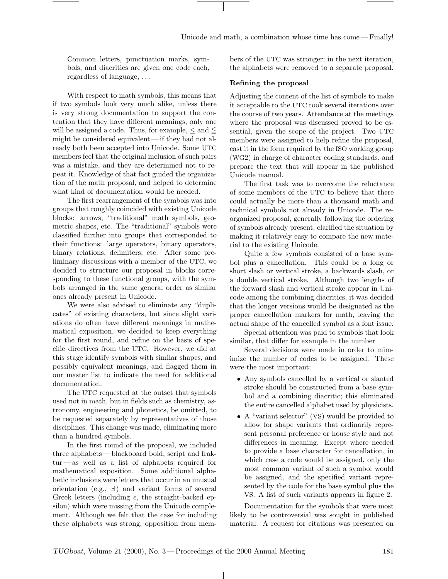Common letters, punctuation marks, symbols, and diacritics are given one code each, regardless of language, . . .

With respect to math symbols, this means that if two symbols look very much alike, unless there is very strong documentation to support the contention that they have different meanings, only one will be assigned a code. Thus, for example,  $\leq$  and  $\leq$ might be considered equivalent — if they had not already both been accepted into Unicode. Some UTC members feel that the original inclusion of such pairs was a mistake, and they are determined not to repeat it. Knowledge of that fact guided the organization of the math proposal, and helped to determine what kind of documentation would be needed.

The first rearrangement of the symbols was into groups that roughly coincided with existing Unicode blocks: arrows, "traditional" math symbols, geometric shapes, etc. The "traditional" symbols were classified further into groups that corresponded to their functions: large operators, binary operators, binary relations, delimiters, etc. After some preliminary discussions with a member of the UTC, we decided to structure our proposal in blocks corresponding to these functional groups, with the symbols arranged in the same general order as similar ones already present in Unicode.

We were also advised to eliminate any "duplicates" of existing characters, but since slight variations do often have different meanings in mathematical exposition, we decided to keep everything for the first round, and refine on the basis of specific directives from the UTC. However, we did at this stage identify symbols with similar shapes, and possibly equivalent meanings, and flagged them in our master list to indicate the need for additional documentation.

The UTC requested at the outset that symbols used not in math, but in fields such as chemistry, astronomy, engineering and phonetics, be omitted, to be requested separately by representatives of those disciplines. This change was made, eliminating more than a hundred symbols.

In the first round of the proposal, we included three alphabets— blackboard bold, script and frak $tur$ —as well as a list of alphabets required for mathematical exposition. Some additional alphabetic inclusions were letters that occur in an unusual orientation (e.g.,  $\pm$ ) and variant forms of several Greek letters (including  $\epsilon$ , the straight-backed epsilon) which were missing from the Unicode complement. Although we felt that the case for including these alphabets was strong, opposition from members of the UTC was stronger; in the next iteration, the alphabets were removed to a separate proposal.

# Refining the proposal

Adjusting the content of the list of symbols to make it acceptable to the UTC took several iterations over the course of two years. Attendance at the meetings where the proposal was discussed proved to be essential, given the scope of the project. Two UTC members were assigned to help refine the proposal, cast it in the form required by the ISO working group (WG2) in charge of character coding standards, and prepare the text that will appear in the published Unicode manual.

The first task was to overcome the reluctance of some members of the UTC to believe that there could actually be more than a thousand math and technical symbols not already in Unicode. The reorganized proposal, generally following the ordering of symbols already present, clarified the situation by making it relatively easy to compare the new material to the existing Unicode.

Quite a few symbols consisted of a base symbol plus a cancellation. This could be a long or short slash or vertical stroke, a backwards slash, or a double vertical stroke. Although two lengths of the forward slash and vertical stroke appear in Unicode among the combining diacritics, it was decided that the longer versions would be designated as the proper cancellation markers for math, leaving the actual shape of the cancelled symbol as a font issue.

Special attention was paid to symbols that look similar, that differ for example in the number

Several decisions were made in order to mimimize the number of codes to be assigned. These were the most important:

- Any symbols cancelled by a vertical or slanted stroke should be constructed from a base symbol and a combining diacritic; this eliminated the entire cancelled alphabet used by physicists.
- A "variant selector" (VS) would be provided to allow for shape variants that ordinarily represent personal preference or house style and not differences in meaning. Except where needed to provide a base character for cancellation, in which case a code would be assigned, only the most common variant of such a symbol would be assigned, and the specified variant represented by the code for the base symbol plus the VS. A list of such variants appears in figure 2.

Documentation for the symbols that were most likely to be controversial was sought in published material. A request for citations was presented on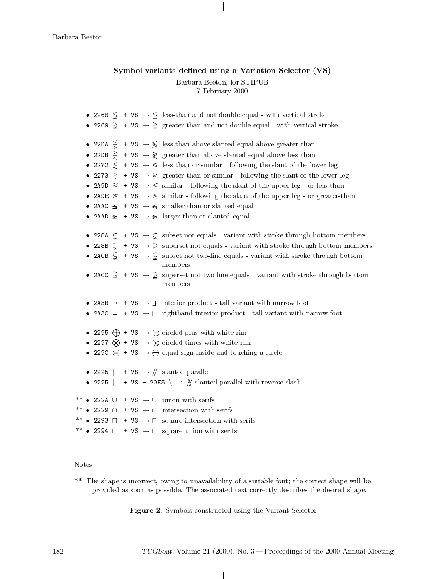# Symbol variants defined using a Variation Selector (VS) Barbara Beeton, for STIPUB 7 February 2000

• 2268  $\leq$  + VS  $\rightarrow \leq$  less-than and not double equal - with vertical stroke • 2269  $\geq$  + VS  $\rightarrow \geq$  greater-than and not double equal - with vertical stroke • 22DA  $\leq$  + VS  $\rightarrow \leq$  less-than above slanted equal above greater-than • 22DB  $\geq$  + VS  $\rightarrow \geq$  greater-than above slanted equal above less-than • 2272  $\leq$  + VS  $\rightarrow \leq$  less-than or similar - following the slant of the lower leg • 2273  $\geq$  + VS  $\rightarrow \geq$  greater-than or similar - following the slant of the lower leg • 2A9D  $\approx$  + VS  $\rightarrow \approx$  similar - following the slant of the upper leg - or less-than • 2A9E  $\leq$  + VS  $\rightarrow$   $\geq$  similar - following the slant of the upper leg - or greater-than • 2AAC  $\leq$  + VS  $\rightarrow \leq$  smaller than or slanted equal • 2AAD  $\geq$  + VS  $\rightarrow \geq$  larger than or slanted equal • 228A  $\subsetneq$  + VS  $\rightarrow \subsetneq$  subset not equals - variant with stroke through bottom members • 228B  $\supsetneq$  + VS  $\rightarrow \supsetneq$  superset not equals - variant with stroke through bottom members • 2ACB  $\subsetneq$  + VS  $\rightarrow \subsetneq$  subset not two-line equals - variant with stroke through bottom members • 2ACC  $\Rightarrow$  + VS  $\rightarrow \Rightarrow$  superset not two-line equals - variant with stroke through bottom members • 2A3B  $\rightarrow$  + VS  $\rightarrow$  1 interior product - tall variant with narrow foot • 2A3C  $\leftarrow$  + VS  $\rightarrow \left\lfloor$  righthand interior product - tall variant with narrow foot • 2295  $\bigoplus$  + VS  $\rightarrow \bigoplus$  circled plus with white rim • 2297  $\otimes$  + VS  $\rightarrow \otimes$  circled times with white rim • 229C  $\oplus$  + VS  $\rightarrow \oplus$  equal sign inside and touching a circle • 2225  $\parallel$  + VS  $\rightarrow$  // slanted parallel • 2225  $\parallel$  + VS + 20E5  $\setminus \rightarrow \mathcal{N}$  slanted parallel with reverse slash \*\* • 222A  $\cup$  + VS  $\rightarrow$   $\cup$  union with serifs \*\* • 2229  $\cap$  + VS  $\rightarrow$   $\cap$  intersection with serifs \*\* • 2293  $\Box$  + VS  $\rightarrow \Box$  square intersection with serifs \*\* • 2294  $\sqcup$  + VS  $\rightarrow \sqcup$  square union with serifs

Notes:

\*\* The shape is incorrect, owing to unavailability of a suitable font; the correct shape will be provided as soon as possible. The associated text correctly describes the desired shape.

Figure 2: Symbols constructed using the Variant Selector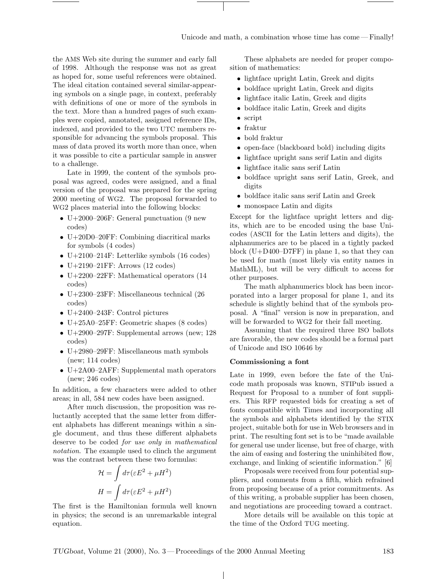the AMS Web site during the summer and early fall of 1998. Although the response was not as great as hoped for, some useful references were obtained. The ideal citation contained several similar-appearing symbols on a single page, in context, preferably with definitions of one or more of the symbols in the text. More than a hundred pages of such examples were copied, annotated, assigned reference IDs, indexed, and provided to the two UTC members responsible for advancing the symbols proposal. This mass of data proved its worth more than once, when it was possible to cite a particular sample in answer to a challenge.

Late in 1999, the content of the symbols proposal was agreed, codes were assigned, and a final version of the proposal was prepared for the spring 2000 meeting of WG2. The proposal forwarded to WG2 places material into the following blocks:

- U+2000–206F: General punctuation (9 new codes)
- U+20D0–20FF: Combining diacritical marks for symbols (4 codes)
- U+2100–214F: Letterlike symbols (16 codes)
- U+2190-21FF: Arrows  $(12 \text{ codes})$
- U+2200–22FF: Mathematical operators (14) codes)
- U+2300–23FF: Miscellaneous technical (26 codes)
- U+2400–243F: Control pictures
- U+25A0–25FF: Geometric shapes (8 codes)
- U+2900–297F: Supplemental arrows (new;  $128$ codes)
- U+2980–29FF: Miscellaneous math symbols (new; 114 codes)
- U+2A00–2AFF: Supplemental math operators (new; 246 codes)

In addition, a few characters were added to other areas; in all, 584 new codes have been assigned.

After much discussion, the proposition was reluctantly accepted that the same letter from different alphabets has different meanings within a single document, and thus these different alphabets deserve to be coded for use only in mathematical notation. The example used to clinch the argument was the contrast between these two formulas:

$$
\mathcal{H} = \int d\tau (\varepsilon E^2 + \mu H^2)
$$

$$
H = \int d\tau (\varepsilon E^2 + \mu H^2)
$$

The first is the Hamiltonian formula well known in physics; the second is an unremarkable integral equation.

These alphabets are needed for proper composition of mathematics:

- lightface upright Latin, Greek and digits
- boldface upright Latin, Greek and digits
- lightface italic Latin, Greek and digits
- boldface italic Latin, Greek and digits
- script
- fraktur
- bold fraktur
- open-face (blackboard bold) including digits
- lightface upright sans serif Latin and digits
- lightface italic sans serif Latin
- boldface upright sans serif Latin, Greek, and digits
- boldface italic sans serif Latin and Greek
- monospace Latin and digits

Except for the lightface upright letters and digits, which are to be encoded using the base Unicodes (ASCII for the Latin letters and digits), the alphanumerics are to be placed in a tightly packed block (U+D400–D7FF) in plane 1, so that they can be used for math (most likely via entity names in MathML), but will be very difficult to access for other purposes.

The math alphanumerics block has been incorporated into a larger proposal for plane 1, and its schedule is slightly behind that of the symbols proposal. A "final" version is now in preparation, and will be forwarded to WG2 for their fall meeting.

Assuming that the required three ISO ballots are favorable, the new codes should be a formal part of Unicode and ISO 10646 by

#### Commissioning a font

Late in 1999, even before the fate of the Unicode math proposals was known, STIPub issued a Request for Proposal to a number of font suppliers. This RFP requested bids for creating a set of fonts compatible with Times and incorporating all the symbols and alphabets identified by the STIX project, suitable both for use in Web browsers and in print. The resulting font set is to be "made available for general use under license, but free of charge, with the aim of easing and fostering the uninhibited flow, exchange, and linking of scientific information." [6]

Proposals were received from four potential suppliers, and comments from a fifth, which refrained from proposing because of a prior commitments. As of this writing, a probable supplier has been chosen, and negotiations are proceeding toward a contract.

More details will be available on this topic at the time of the Oxford TUG meeting.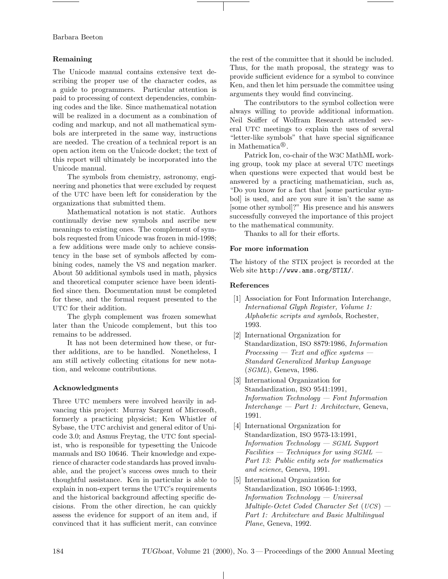# Remaining

The Unicode manual contains extensive text describing the proper use of the character codes, as a guide to programmers. Particular attention is paid to processing of context dependencies, combining codes and the like. Since mathematical notation will be realized in a document as a combination of coding and markup, and not all mathematical symbols are interpreted in the same way, instructions are needed. The creation of a technical report is an open action item on the Unicode docket; the text of this report will ultimately be incorporated into the Unicode manual.

The symbols from chemistry, astronomy, engineering and phonetics that were excluded by request of the UTC have been left for consideration by the organizations that submitted them.

Mathematical notation is not static. Authors continually devise new symbols and ascribe new meanings to existing ones. The complement of symbols requested from Unicode was frozen in mid-1998; a few additions were made only to achieve consistency in the base set of symbols affected by combining codes, namely the VS and negation marker. About 50 additional symbols used in math, physics and theoretical computer science have been identified since then. Documentation must be completed for these, and the formal request presented to the UTC for their addition.

The glyph complement was frozen somewhat later than the Unicode complement, but this too remains to be addressed.

It has not been determined how these, or further additions, are to be handled. Nonetheless, I am still actively collecting citations for new notation, and welcome contributions.

## Acknowledgments

Three UTC members were involved heavily in advancing this project: Murray Sargent of Microsoft, formerly a practicing physicist; Ken Whistler of Sybase, the UTC archivist and general editor of Unicode 3.0; and Asmus Freytag, the UTC font specialist, who is responsible for typesetting the Unicode manuals and ISO 10646. Their knowledge and experience of character code standards has proved invaluable, and the project's success owes much to their thoughtful assistance. Ken in particular is able to explain in non-expert terms the UTC's requirements and the historical background affecting specific decisions. From the other direction, he can quickly assess the evidence for support of an item and, if convinced that it has sufficient merit, can convince the rest of the committee that it should be included. Thus, for the math proposal, the strategy was to provide sufficient evidence for a symbol to convince Ken, and then let him persuade the committee using arguments they would find convincing.

The contributors to the symbol collection were always willing to provide additional information. Neil Soiffer of Wolfram Research attended several UTC meetings to explain the uses of several "letter-like symbols" that have special significance in Mathematica<sup>®</sup>.

Patrick Ion, co-chair of the W3C MathML working group, took my place at several UTC meetings when questions were expected that would best be answered by a practicing mathematician, such as, "Do you know for a fact that [some particular symbol] is used, and are you sure it isn't the same as [some other symbol]?" His presence and his answers successfully conveyed the importance of this project to the mathematical community.

Thanks to all for their efforts.

# For more information

The history of the STIX project is recorded at the Web site http://www.ams.org/STIX/.

## References

- [1] Association for Font Information Interchange, International Glyph Register, Volume 1: Alphabetic scripts and symbols, Rochester, 1993.
- [2] International Organization for Standardization, ISO 8879:1986, Information Processing  $-$  Text and office systems  $-$ Standard Generalized Markup Language (SGML), Geneva, 1986.
- [3] International Organization for Standardization, ISO 9541:1991, Information Technology — Font Information Interchange — Part 1: Architecture, Geneva, 1991.
- [4] International Organization for Standardization, ISO 9573-13:1991, Information Technology — SGML Support  $Facilities - Techniques for using SGML -$ Part 13: Public entity sets for mathematics and science, Geneva, 1991.
- [5] International Organization for Standardization, ISO 10646-1:1993, Information Technology — Universal Multiple-Octet Coded Character Set (UCS) — Part 1: Architecture and Basic Multilingual Plane, Geneva, 1992.